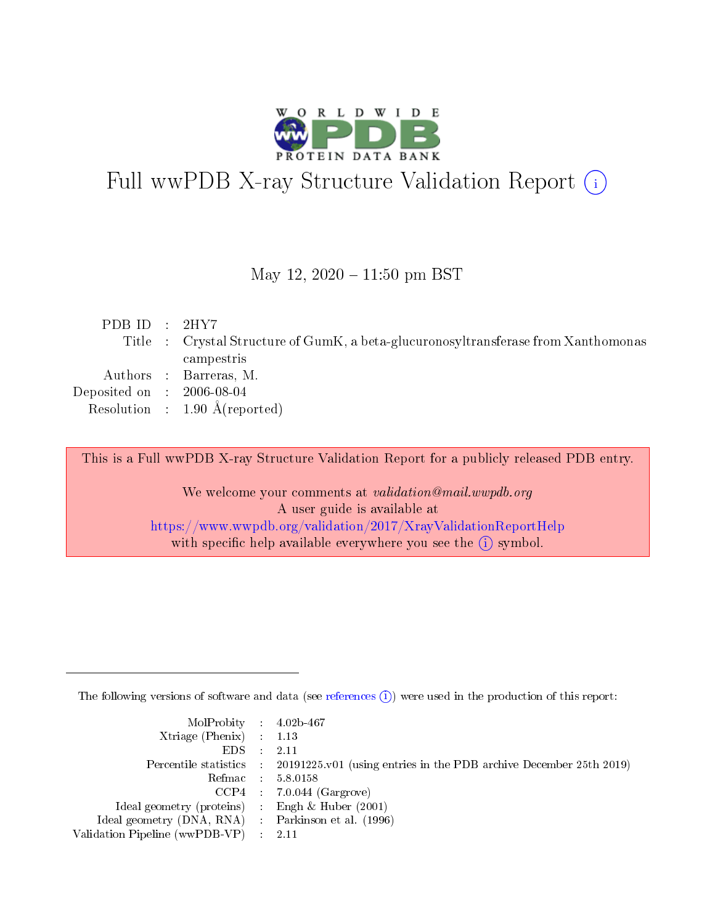

# Full wwPDB X-ray Structure Validation Report (i)

#### May 12,  $2020 - 11:50$  pm BST

| PDB ID : $2HY7$                      |                                                                                    |
|--------------------------------------|------------------------------------------------------------------------------------|
|                                      | Title : Crystal Structure of GumK, a beta-glucuronosyltransferase from Xanthomonas |
|                                      | campestris                                                                         |
|                                      | Authors : Barreras, M.                                                             |
| Deposited on $\therefore$ 2006-08-04 |                                                                                    |
|                                      | Resolution : $1.90 \text{ Å}$ (reported)                                           |

This is a Full wwPDB X-ray Structure Validation Report for a publicly released PDB entry.

We welcome your comments at validation@mail.wwpdb.org A user guide is available at <https://www.wwpdb.org/validation/2017/XrayValidationReportHelp> with specific help available everywhere you see the  $(i)$  symbol.

The following versions of software and data (see [references](https://www.wwpdb.org/validation/2017/XrayValidationReportHelp#references)  $(i)$ ) were used in the production of this report:

| $MolProbability$ 4.02b-467                          |                                                                                            |
|-----------------------------------------------------|--------------------------------------------------------------------------------------------|
| Xtriage (Phenix) $: 1.13$                           |                                                                                            |
| $EDS$ :                                             | -2.11                                                                                      |
|                                                     | Percentile statistics : 20191225.v01 (using entries in the PDB archive December 25th 2019) |
|                                                     | Refmac : 5.8.0158                                                                          |
|                                                     | $CCP4$ : 7.0.044 (Gargrove)                                                                |
| Ideal geometry (proteins) : Engh $\&$ Huber (2001)  |                                                                                            |
| Ideal geometry (DNA, RNA) : Parkinson et al. (1996) |                                                                                            |
| Validation Pipeline (wwPDB-VP)                      | -2.11                                                                                      |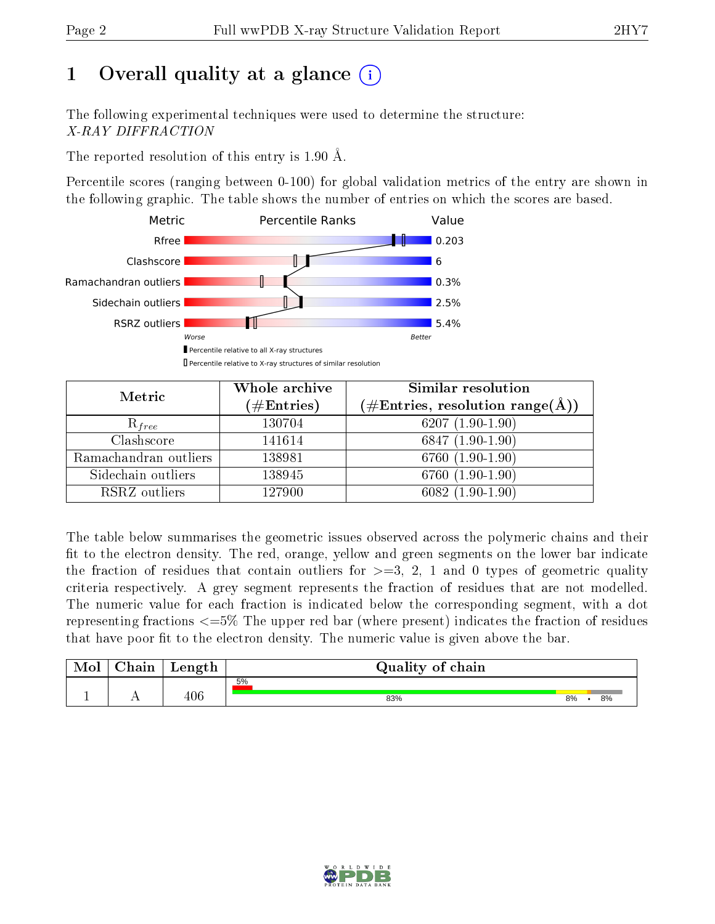# 1 [O](https://www.wwpdb.org/validation/2017/XrayValidationReportHelp#overall_quality)verall quality at a glance  $(i)$

The following experimental techniques were used to determine the structure: X-RAY DIFFRACTION

The reported resolution of this entry is 1.90 Å.

Percentile scores (ranging between 0-100) for global validation metrics of the entry are shown in the following graphic. The table shows the number of entries on which the scores are based.



| Metric                | Whole archive<br>$(\#\mathrm{Entries})$ | Similar resolution<br>(#Entries, resolution range( $\AA$ )) |  |  |
|-----------------------|-----------------------------------------|-------------------------------------------------------------|--|--|
| $R_{free}$            | 130704                                  | $6207(1.90-1.90)$                                           |  |  |
| Clashscore            | 141614                                  | $6847(1.90-1.90)$                                           |  |  |
| Ramachandran outliers | 138981                                  | $6760(1.90-1.90)$                                           |  |  |
| Sidechain outliers    | 138945                                  | $6760(1.90-1.90)$                                           |  |  |
| RSRZ outliers         | 127900                                  | $6082(1.90-1.90)$                                           |  |  |

The table below summarises the geometric issues observed across the polymeric chains and their fit to the electron density. The red, orange, yellow and green segments on the lower bar indicate the fraction of residues that contain outliers for  $>=3, 2, 1$  and 0 types of geometric quality criteria respectively. A grey segment represents the fraction of residues that are not modelled. The numeric value for each fraction is indicated below the corresponding segment, with a dot representing fractions  $\epsilon=5\%$  The upper red bar (where present) indicates the fraction of residues that have poor fit to the electron density. The numeric value is given above the bar.

| Mol           | nain | Length | Quality of chain |    |    |
|---------------|------|--------|------------------|----|----|
|               |      | ላ ሰ ፎ  | 5%               |    |    |
| <u>. на п</u> | . .  | ∃∪€    | 83%              | 8% | 8% |

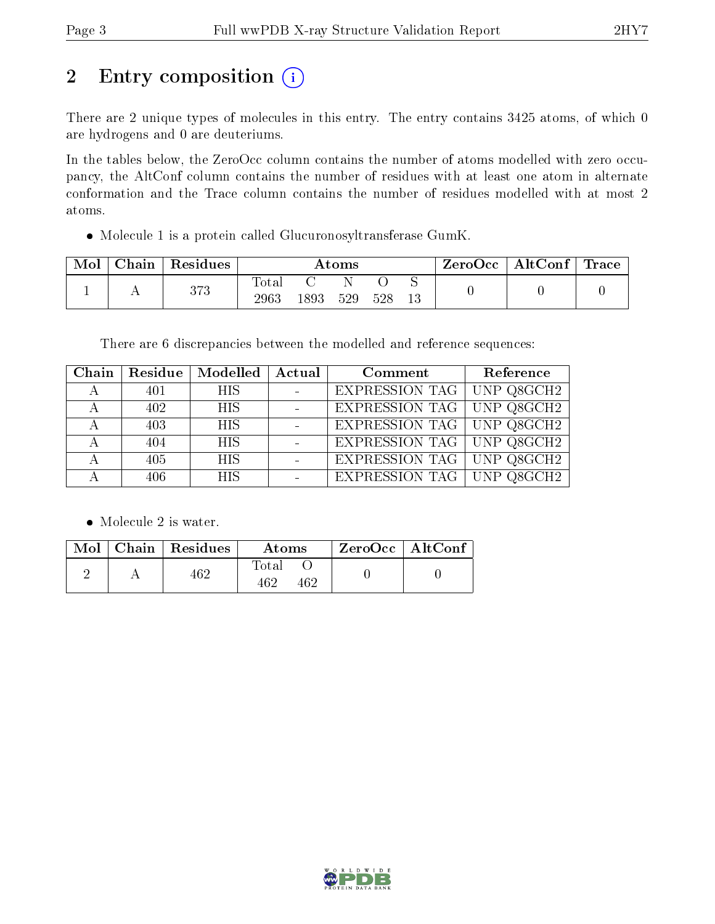# 2 Entry composition (i)

There are 2 unique types of molecules in this entry. The entry contains 3425 atoms, of which 0 are hydrogens and 0 are deuteriums.

In the tables below, the ZeroOcc column contains the number of atoms modelled with zero occupancy, the AltConf column contains the number of residues with at least one atom in alternate conformation and the Trace column contains the number of residues modelled with at most 2 atoms.

Molecule 1 is a protein called Glucuronosyltransferase GumK.

| Mol | Chain | Residues | $\rm{Atoms}$  |      |     |     | ZeroOcc | $\mid$ AltConf $\mid$ | $\operatorname{Trace}$ |  |
|-----|-------|----------|---------------|------|-----|-----|---------|-----------------------|------------------------|--|
|     |       | 373      | Tota.<br>2963 | 1893 | 529 | 528 | 13      |                       |                        |  |

There are 6 discrepancies between the modelled and reference sequences:

| $\overline{\text{Chain}}$ |     | Residue   Modelled   Actual | Comment                          | Reference |
|---------------------------|-----|-----------------------------|----------------------------------|-----------|
|                           | 401 | <b>HIS</b>                  | EXPRESSION TAG UNP Q8GCH2        |           |
|                           | 402 | <b>HIS</b>                  | EXPRESSION TAG   UNP Q8GCH2      |           |
|                           | 403 | HIS                         | <b>EXPRESSION TAG</b> UNP Q8GCH2 |           |
|                           | 404 | HIS                         | EXPRESSION TAG   UNP Q8GCH2      |           |
|                           | 405 | HIS                         | EXPRESSION TAG   UNP Q8GCH2      |           |
|                           | 406 | <b>HIS</b>                  | EXPRESSION TAG   UNP Q8GCH2      |           |

• Molecule 2 is water.

|  | Mol   Chain   Residues | Atoms        | $\,$ ZeroOcc   AltConf $\,$ |  |
|--|------------------------|--------------|-----------------------------|--|
|  | 462                    | Total<br>469 |                             |  |

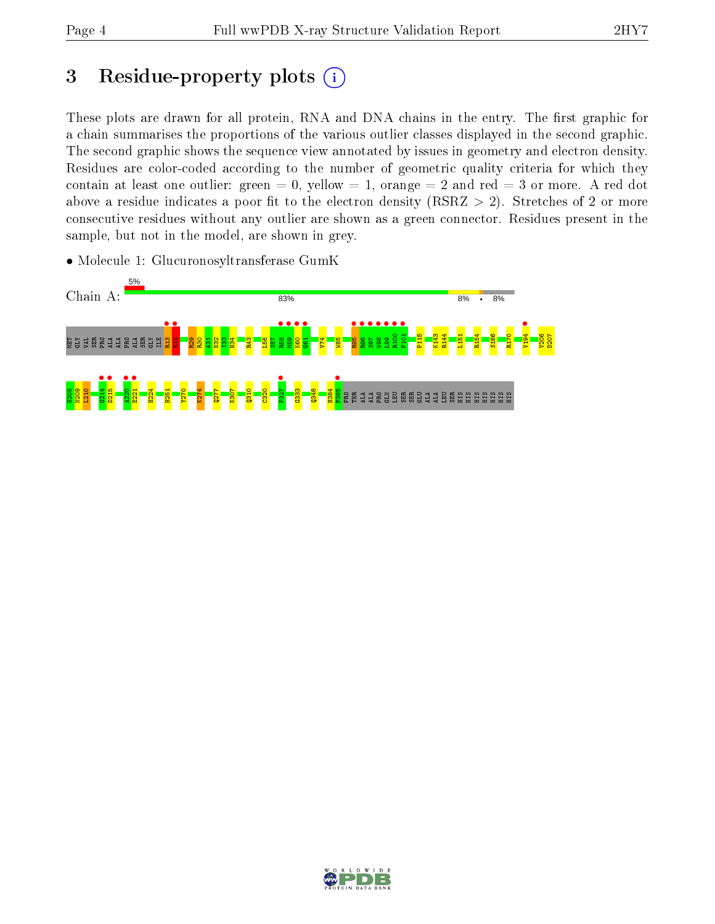## 3 Residue-property plots  $(i)$

These plots are drawn for all protein, RNA and DNA chains in the entry. The first graphic for a chain summarises the proportions of the various outlier classes displayed in the second graphic. The second graphic shows the sequence view annotated by issues in geometry and electron density. Residues are color-coded according to the number of geometric quality criteria for which they contain at least one outlier: green  $= 0$ , yellow  $= 1$ , orange  $= 2$  and red  $= 3$  or more. A red dot above a residue indicates a poor fit to the electron density (RSRZ  $> 2$ ). Stretches of 2 or more consecutive residues without any outlier are shown as a green connector. Residues present in the sample, but not in the model, are shown in grey.





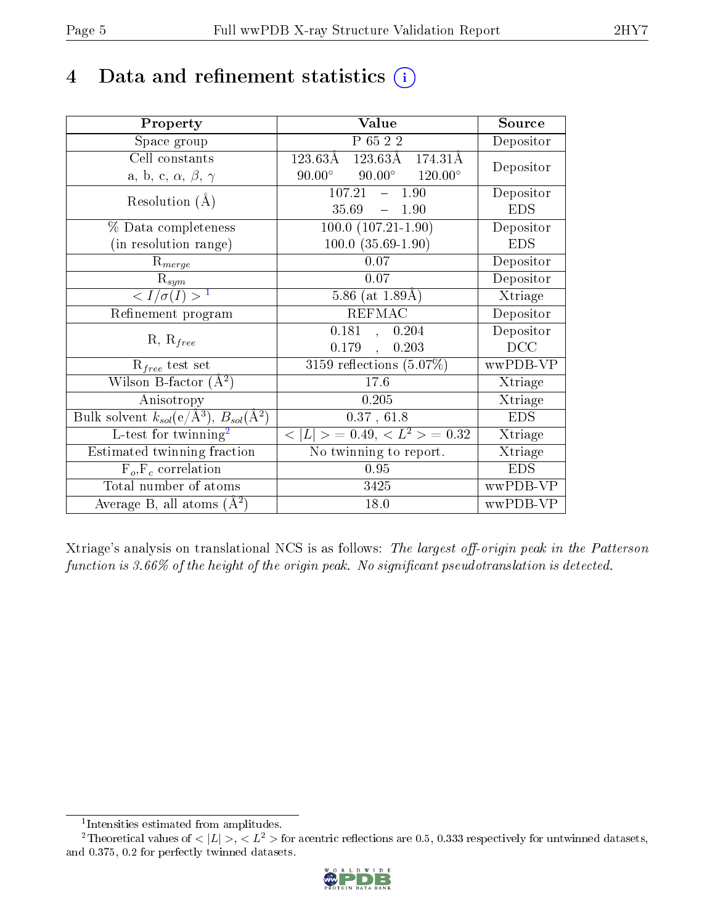## 4 Data and refinement statistics  $(i)$

| Property                                                         | Value                                              | Source     |
|------------------------------------------------------------------|----------------------------------------------------|------------|
| Space group                                                      | P 65 2 2                                           | Depositor  |
| Cell constants                                                   | $123.63\text{\AA}$<br>123.63Å<br>174.31Å           |            |
| a, b, c, $\alpha$ , $\beta$ , $\gamma$                           | $90.00^\circ$<br>$90.00^\circ$<br>$120.00^{\circ}$ | Depositor  |
| Resolution $(A)$                                                 | $107.21 - 1.90$                                    | Depositor  |
|                                                                  | 35.69<br>$-1.90$                                   | <b>EDS</b> |
| % Data completeness                                              | $100.0 (107.21 - 1.90)$                            | Depositor  |
| (in resolution range)                                            | $100.0 (35.69 - 1.90)$                             | <b>EDS</b> |
| $R_{merge}$                                                      | 0.07                                               | Depositor  |
| $\mathrm{R}_{sym}$                                               | 0.07                                               | Depositor  |
| $\langle I/\sigma(I) \rangle^{-1}$                               | 5.86 (at $1.89\text{\AA})$                         | Xtriage    |
| Refinement program                                               | <b>REFMAC</b>                                      | Depositor  |
| $R, R_{free}$                                                    | 0.181<br>0.204<br>$\mathbf{A}$                     | Depositor  |
|                                                                  | 0.179<br>0.203<br>$\ddot{\phantom{1}}$             | DCC        |
| $\mathcal{R}_{free}$ test set                                    | $3159$ reflections $(5.07\%)$                      | wwPDB-VP   |
| Wilson B-factor $(A^2)$                                          | 17.6                                               | Xtriage    |
| Anisotropy                                                       | 0.205                                              | Xtriage    |
| Bulk solvent $k_{sol}(\text{e}/\text{A}^3), B_{sol}(\text{A}^2)$ | 0.37, 61.8                                         | <b>EDS</b> |
| L-test for $\mathrm{twinning}^2$                                 | $< L >$ = 0.49, $< L^2 >$ = 0.32                   | Xtriage    |
| Estimated twinning fraction                                      | $\overline{\text{No}}$ twinning to report.         | Xtriage    |
| $F_o, F_c$ correlation                                           | 0.95                                               | <b>EDS</b> |
| Total number of atoms                                            | 3425                                               | wwPDB-VP   |
| Average B, all atoms $(A^2)$                                     | 18.0                                               | wwPDB-VP   |

Xtriage's analysis on translational NCS is as follows: The largest off-origin peak in the Patterson function is  $3.66\%$  of the height of the origin peak. No significant pseudotranslation is detected.

<sup>&</sup>lt;sup>2</sup>Theoretical values of  $\langle |L| \rangle$ ,  $\langle L^2 \rangle$  for acentric reflections are 0.5, 0.333 respectively for untwinned datasets, and 0.375, 0.2 for perfectly twinned datasets.



<span id="page-4-1"></span><span id="page-4-0"></span><sup>1</sup> Intensities estimated from amplitudes.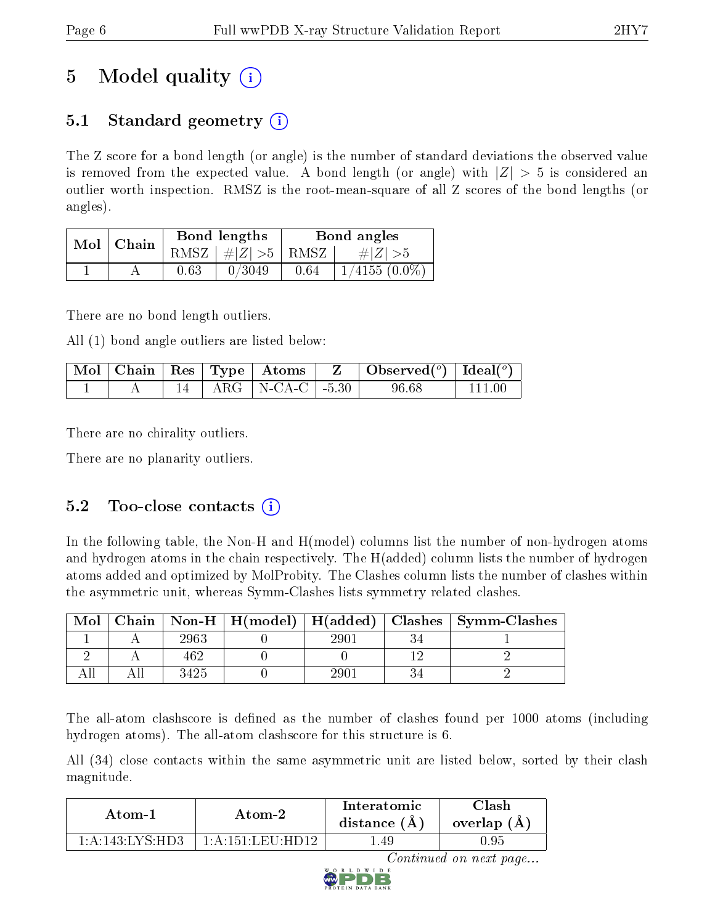# 5 Model quality  $(i)$

## 5.1 Standard geometry  $\overline{()}$

The Z score for a bond length (or angle) is the number of standard deviations the observed value is removed from the expected value. A bond length (or angle) with  $|Z| > 5$  is considered an outlier worth inspection. RMSZ is the root-mean-square of all Z scores of the bond lengths (or angles).

| Mol | Chain |      | Bond lengths                   | Bond angles |                 |  |
|-----|-------|------|--------------------------------|-------------|-----------------|--|
|     |       |      | RMSZ $\mid \#Z \mid >5$   RMSZ |             | $\# Z  > 5$     |  |
|     |       | 0.63 | 0/3049                         | 0.64        | $1/4155(0.0\%)$ |  |

There are no bond length outliers.

All (1) bond angle outliers are listed below:

|  |  | $\sqrt{\text{Mol}}$   Chain   Res   Type   Atoms | Z. | $\Box$ Observed( $^o$ )   Ideal( $^o$ ) |  |
|--|--|--------------------------------------------------|----|-----------------------------------------|--|
|  |  | $14$   ARG   N-CA-C   -5.30                      |    | 96.68                                   |  |

There are no chirality outliers.

There are no planarity outliers.

### 5.2 Too-close contacts (i)

In the following table, the Non-H and H(model) columns list the number of non-hydrogen atoms and hydrogen atoms in the chain respectively. The H(added) column lists the number of hydrogen atoms added and optimized by MolProbity. The Clashes column lists the number of clashes within the asymmetric unit, whereas Symm-Clashes lists symmetry related clashes.

| Mol |      |     | Chain   Non-H   H(model)   H(added)   Clashes   Symm-Clashes |
|-----|------|-----|--------------------------------------------------------------|
|     | 2963 | 290 |                                                              |
|     | 462  |     |                                                              |
|     | 3425 | 290 |                                                              |

The all-atom clashscore is defined as the number of clashes found per 1000 atoms (including hydrogen atoms). The all-atom clashscore for this structure is 6.

All (34) close contacts within the same asymmetric unit are listed below, sorted by their clash magnitude.

| Atom-1               | Atom-2                                   | Interatomic<br>distance $(A)$ | `lash<br>overlap $(A)$ |  |
|----------------------|------------------------------------------|-------------------------------|------------------------|--|
| $1:$ A:143: LVS: HD3 | $1 \cdot A \cdot 151 \cdot I$ eil $HD12$ | .49                           | ., 95.                 |  |

Continued on next page...

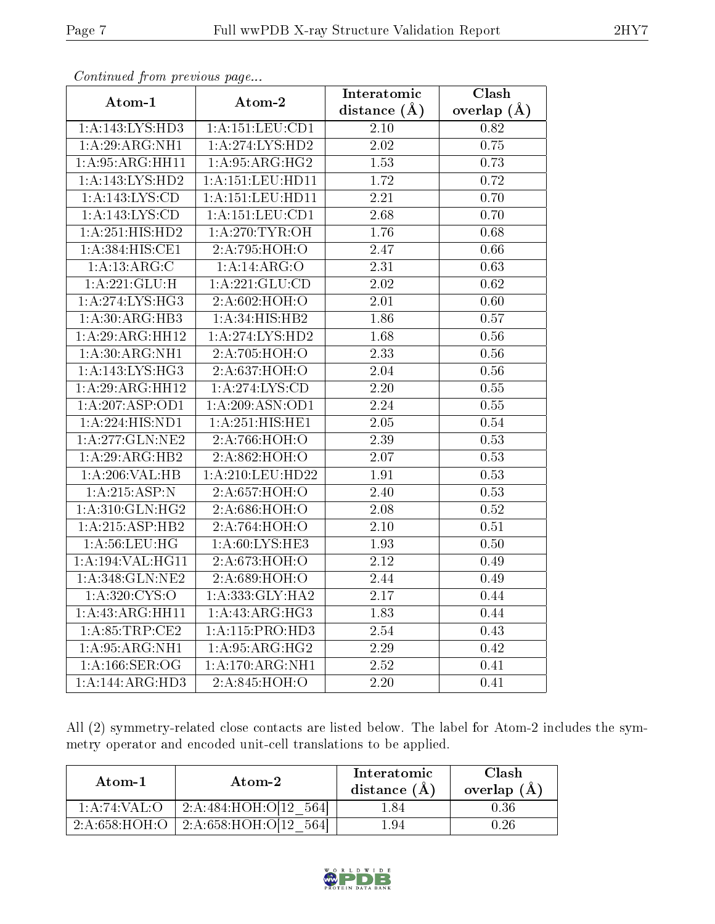| $\sum_{i=1}^{n}$             |                             | Interatomic       | Clash         |
|------------------------------|-----------------------------|-------------------|---------------|
| Atom-1                       | Atom-2                      | distance $(A)$    | overlap $(A)$ |
| 1:A:143:LYS:HD3              | 1: A: 151: LEU: CD1         | $2.10\,$          | 0.82          |
| 1:A:29:ARG:NH1               | 1: A:274:LYS:HD2            | 2.02              | 0.75          |
| 1: A:95: ARG:HH11            | 1: A:95: ARG: HG2           | 1.53              | 0.73          |
| 1:A:143:LYS:HD2              | 1: A: 151: LEU: HD11        | $\overline{1.72}$ | 0.72          |
| 1: A: 143: LYS: CD           | 1: A: 151: LEU: HD11        | 2.21              | 0.70          |
| 1:A:143:LYS:CD               | 1: A: 151: LEU: CD1         | 2.68              | 0.70          |
| 1:A:251:HIS:HD2              | 1: A:270:TYR:OH             | 1.76              | 0.68          |
| 1:A:384:HIS:CE1              | 2:A:795:HOH:O               | 2.47              | 0.66          |
| 1: A: 13: ARG: C             | 1:A:4:ARG:O                 | 2.31              | 0.63          |
| 1: A:221: GLU: H             | 1: A:221: GLU:CD            | 2.02              | 0.62          |
| 1: A:274: LYS: HG3           | 2:A:602:HOH:O               | 2.01              | 0.60          |
| 1:A:30:ARG:HB3               | 1:A:34:HIS:HB2              | 1.86              | 0.57          |
| 1:A:29:ARG:HH12              | 1: A:274: LYS: HD2          | 1.68              | 0.56          |
| 1: A:30: ARG: NH1            | 2:A:705:HOH:O               | 2.33              | 0.56          |
| 1: A:143: LYS: HG3           | 2:A:637:HOH:O               | 2.04              | 0.56          |
| 1:A:29:ARG:HH12              | 1: A:274: LYS:CD            | 2.20              | 0.55          |
| 1:A:207:ASP:OD1              | 1:A:209:ASN:OD1             | 2.24              | 0.55          |
| 1: A:224: HIS: ND1           | 1:A:251:HIS:HE1             | 2.05              | 0.54          |
| 1: A:277: GLN:NE2            | 2:A:766:HOH:O               | 2.39              | 0.53          |
| 1:A:29:ARG:HB2               | 2:A:862:HOH:O               | 2.07              | 0.53          |
| 1:A:206:VAL:HB               | 1:A:210:LEU:HD22            | 1.91              | 0.53          |
| 1:A:215:ASP:N                | 2:A:657:HOH:O               | 2.40              | 0.53          |
| 1: A:310: GLN: HG2           | 2:A:686:HOH:O               | 2.08              | 0.52          |
| 1:A:215:ASP:HB2              | 2:A:764:HOH:O               | 2.10              | 0.51          |
| 1: A:56:LEU:HG               | 1: A:60: LYS: HE3           | 1.93              | 0.50          |
| 1: A: 194: VAL: HG11         | 2:A:673:HOH:O               | 2.12              | 0.49          |
| 1: A:348: GLN:NE2            | 2:A:689:HOH:O               | 2.44              | 0.49          |
| 1: A:320: CYS:O              | 1:A:333:GLY:HA2             | 2.17              | 0.44          |
| 1:A:43:ARG:HH11              | 1: A:43: ARG: HG3           | 1.83              | 0.44          |
| 1: A:85:TRP:CE2              | 1: A:115: PRO:HD3           | 2.54              | 0.43          |
| $1: \overline{A:95:ARG:NH1}$ | $1:A:95:\overline{ARG:HG2}$ | 2.29              | 0.42          |
| 1:A:166:SER:OG               | 1: A:170:ARG:NH1            | 2.52              | 0.41          |
| 1:A:144:ARG:HD3              | 2:A:845:HOH:O               | 2.20              | 0.41          |

Continued from previous page...

All (2) symmetry-related close contacts are listed below. The label for Atom-2 includes the symmetry operator and encoded unit-cell translations to be applied.

| Atom-1        | Atom-2                     | Interatomic<br>distance (A) | Clash<br>overlap $(A)$ |
|---------------|----------------------------|-----------------------------|------------------------|
| 1:A:74:VAL:C  | 2:A:484:HOH:O[12]<br>.5641 | .84                         | $0.36\,$               |
| 2:A:658:HOH:O | 2:A:658:HOH:O[12]          | .94                         | -96                    |

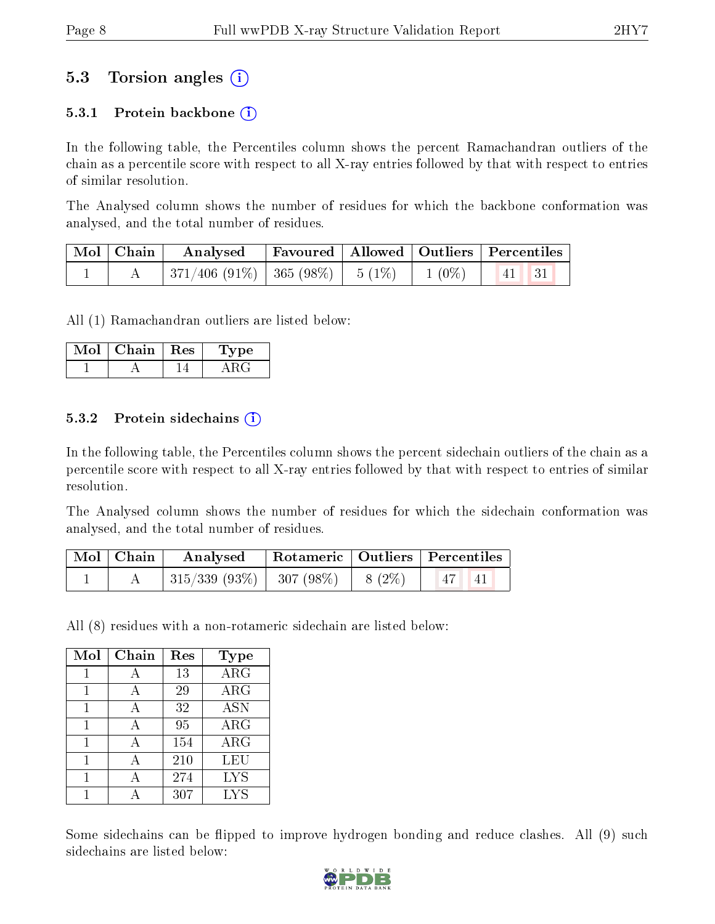## 5.3 Torsion angles (i)

#### 5.3.1 Protein backbone  $(i)$

In the following table, the Percentiles column shows the percent Ramachandran outliers of the chain as a percentile score with respect to all X-ray entries followed by that with respect to entries of similar resolution.

The Analysed column shows the number of residues for which the backbone conformation was analysed, and the total number of residues.

| Mol   Chain | Analysed                                            | Favoured   Allowed   Outliers   Percentiles |          |                     |  |
|-------------|-----------------------------------------------------|---------------------------------------------|----------|---------------------|--|
|             | $\mid$ 371/406 (91%) $\mid$ 365 (98%) $\mid$ 5 (1%) |                                             | $1(0\%)$ | $\vert 41 \vert 31$ |  |

All (1) Ramachandran outliers are listed below:

| Mol | Chain   Res | Type: |
|-----|-------------|-------|
|     |             |       |

#### 5.3.2 Protein sidechains  $\left( \widehat{\mathbf{i}} \right)$

In the following table, the Percentiles column shows the percent sidechain outliers of the chain as a percentile score with respect to all X-ray entries followed by that with respect to entries of similar resolution.

The Analysed column shows the number of residues for which the sidechain conformation was analysed, and the total number of residues.

| Mol   Chain | Analysed                          |  | Rotameric   Outliers   Percentiles |
|-------------|-----------------------------------|--|------------------------------------|
|             | $ 315/339(93\%) 307(98\%) 8(2\%)$ |  | $-147$ $\ldots$<br> 41             |

All (8) residues with a non-rotameric sidechain are listed below:

| Mol | Chain | Res | <b>Type</b>           |
|-----|-------|-----|-----------------------|
| 1   | А     | 13  | $\overline{\rm{ARG}}$ |
| 1   | А     | 29  | $\rm{ARG}$            |
| 1   | А     | 32  | <b>ASN</b>            |
|     | А     | 95  | ARG                   |
|     |       | 154 | $\rm{ARG}$            |
|     |       | 210 | LEU                   |
|     |       | 274 | <b>LYS</b>            |
|     |       | 307 | <b>LYS</b>            |

Some sidechains can be flipped to improve hydrogen bonding and reduce clashes. All (9) such sidechains are listed below:

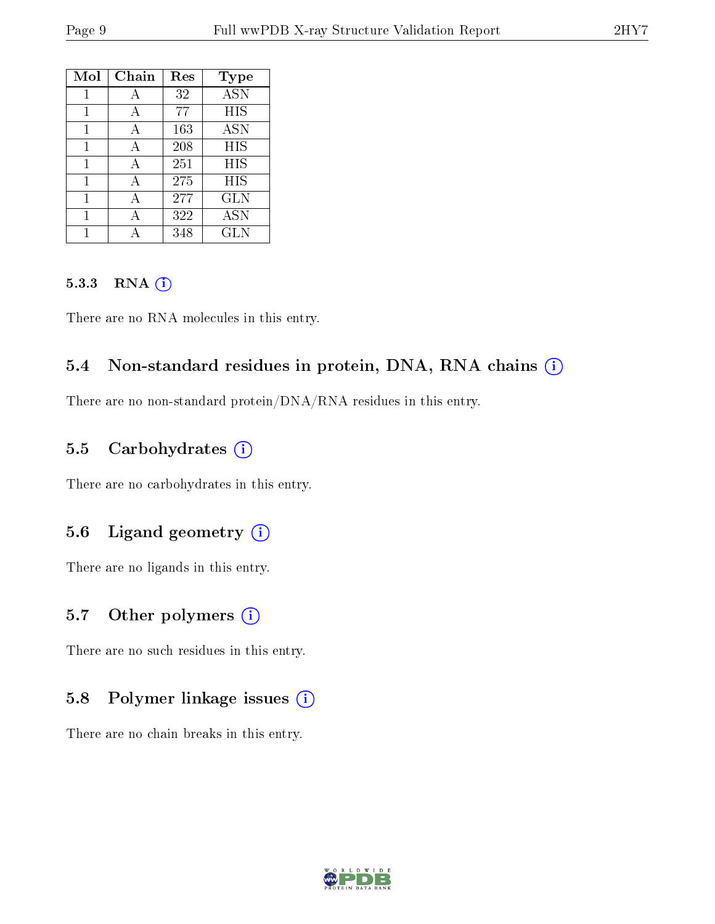| Mol | Chain        | Res | <b>Type</b> |
|-----|--------------|-----|-------------|
| 1   | А            | 32  | <b>ASN</b>  |
| 1   | $\mathsf{A}$ | 77  | HIS         |
| 1   | A            | 163 | ASN         |
| 1   | А            | 208 | HIS         |
| 1   | А            | 251 | HIS         |
| 1   | A            | 275 | HIS         |
| 1   | А            | 277 | GLN         |
| 1   |              | 322 | <b>ASN</b>  |
|     |              | 348 | <b>GLN</b>  |

#### 5.3.3 RNA [O](https://www.wwpdb.org/validation/2017/XrayValidationReportHelp#rna)i

There are no RNA molecules in this entry.

#### 5.4 Non-standard residues in protein, DNA, RNA chains (i)

There are no non-standard protein/DNA/RNA residues in this entry.

#### 5.5 Carbohydrates  $(i)$

There are no carbohydrates in this entry.

### 5.6 Ligand geometry (i)

There are no ligands in this entry.

### 5.7 [O](https://www.wwpdb.org/validation/2017/XrayValidationReportHelp#nonstandard_residues_and_ligands)ther polymers (i)

There are no such residues in this entry.

#### 5.8 Polymer linkage issues (i)

There are no chain breaks in this entry.

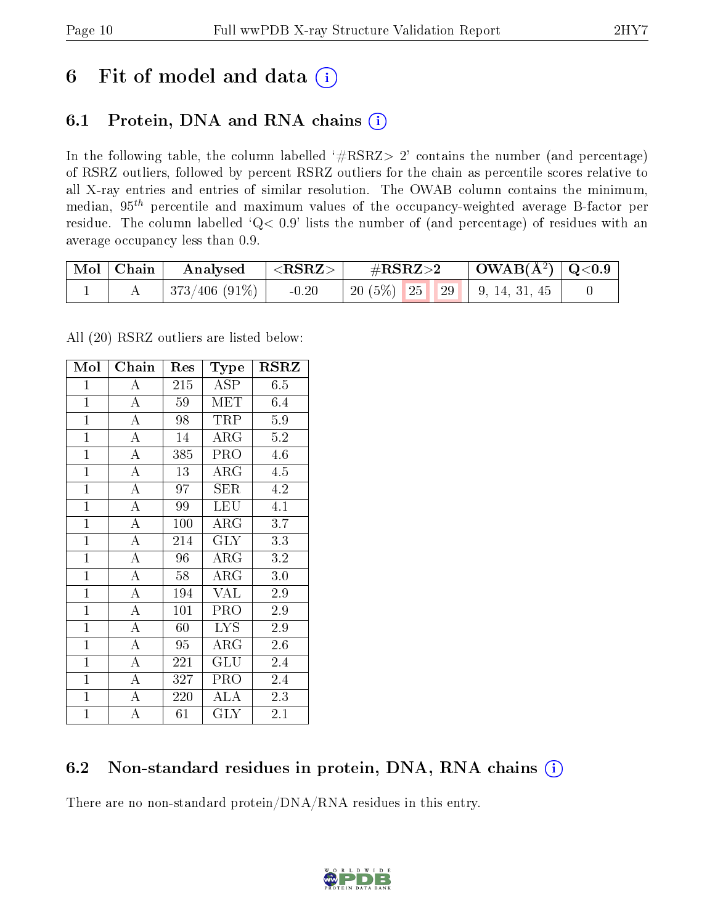## 6 Fit of model and data  $(i)$

## 6.1 Protein, DNA and RNA chains  $(i)$

In the following table, the column labelled  $#RSRZ> 2'$  contains the number (and percentage) of RSRZ outliers, followed by percent RSRZ outliers for the chain as percentile scores relative to all X-ray entries and entries of similar resolution. The OWAB column contains the minimum, median,  $95<sup>th</sup>$  percentile and maximum values of the occupancy-weighted average B-factor per residue. The column labelled ' $Q< 0.9$ ' lists the number of (and percentage) of residues with an average occupancy less than 0.9.

| $\mid$ Mol $\mid$ Chain | Analysed $ \langle \text{RSRZ} \rangle $ | $\#\text{RSRZ}\text{>2}$             | $\mid$ OWAB(Å <sup>2</sup> ) $\mid$ Q<0.9 |  |
|-------------------------|------------------------------------------|--------------------------------------|-------------------------------------------|--|
|                         | $ 373/406 (91\%) $ -0.20                 | 20 $(5\%)$   25   29   9, 14, 31, 45 |                                           |  |

All (20) RSRZ outliers are listed below:

| Mol            | Chain              | Res | Type        | $_{\rm RSRZ}$ |
|----------------|--------------------|-----|-------------|---------------|
| $\mathbf{1}$   | $\bf{A}$           | 215 | <b>ASP</b>  | 6.5           |
| $\mathbf{1}$   | $\overline{\rm A}$ | 59  | <b>MET</b>  | 6.4           |
| $\mathbf{1}$   | $\overline{\rm A}$ | 98  | <b>TRP</b>  | 5.9           |
| $\overline{1}$ | $\overline{\rm A}$ | 14  | $\rm{ARG}$  | 5.2           |
| $\overline{1}$ | $\overline{\rm A}$ | 385 | PRO         | 4.6           |
| $\mathbf{1}$   | $\overline{\rm A}$ | 13  | $\rm{ARG}$  | 4.5           |
| $\overline{1}$ | $\overline{\rm A}$ | 97  | <b>SER</b>  | 4.2           |
| $\mathbf{1}$   | $\overline{A}$     | 99  | <b>LEU</b>  | 4.1           |
| $\mathbf{1}$   | $\overline{\rm A}$ | 100 | $\rm{ARG}$  | 3.7           |
| $\mathbf{1}$   | $\overline{A}$     | 214 | <b>GLY</b>  | 3.3           |
| $\mathbf{1}$   | $\overline{A}$     | 96  | $\rm{ARG}$  | 3.2           |
| $\mathbf{1}$   | $\overline{\rm A}$ | 58  | ${\rm ARG}$ | 3.0           |
| $\mathbf{1}$   | $\overline{A}$     | 194 | <b>VAL</b>  | 2.9           |
| $\mathbf{1}$   | $\overline{\rm A}$ | 101 | PRO         | 2.9           |
| $\mathbf{1}$   | $\overline{\rm A}$ | 60  | <b>LYS</b>  | 2.9           |
| $\mathbf{1}$   | $\bf{A}$           | 95  | $\rm{ARG}$  | 2.6           |
| $\mathbf{1}$   | $\overline{\rm A}$ | 221 | GLU         | 2.4           |
| $\mathbf{1}$   | $\boldsymbol{A}$   | 327 | PRO         | 2.4           |
| $\mathbf{1}$   | $\overline{\rm A}$ | 220 | <b>ALA</b>  | 2.3           |
| $\overline{1}$ | A                  | 61  | <b>GLY</b>  | 2.1           |

## 6.2 Non-standard residues in protein, DNA, RNA chains (i)

There are no non-standard protein/DNA/RNA residues in this entry.